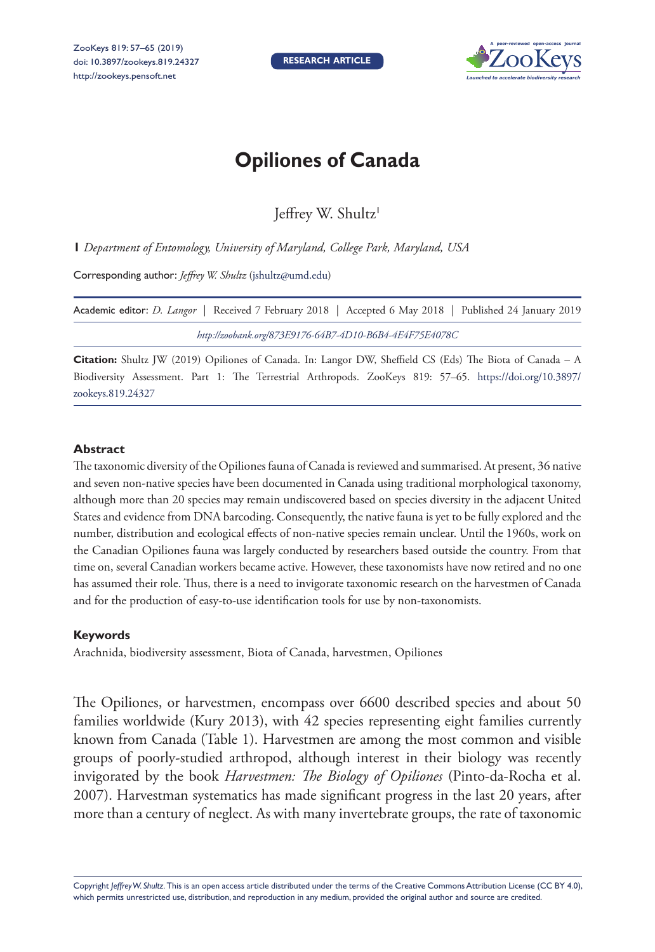

## **Opiliones of Canada**

Jeffrey W. Shultz<sup>1</sup>

**1** *Department of Entomology, University of Maryland, College Park, Maryland, USA*

Corresponding author: *Jeffrey W. Shultz* [\(jshultz@umd.edu](mailto:jshultz@umd.edu))

| Academic editor: <i>D. Langor</i>   Received 7 February 2018   Accepted 6 May 2018   Published 24 January 2019 |  |
|----------------------------------------------------------------------------------------------------------------|--|
| http://zoobank.org/873E9176-64B7-4D10-B6B4-4E4F75E4078C                                                        |  |

**Citation:** Shultz JW (2019) Opiliones of Canada. In: Langor DW, Sheffield CS (Eds) The Biota of Canada – A Biodiversity Assessment. Part 1: The Terrestrial Arthropods. ZooKeys 819: 57–65. [https://doi.org/10.3897/](https://doi.org/10.3897/zookeys.819.24327) [zookeys.819.24327](https://doi.org/10.3897/zookeys.819.24327)

## **Abstract**

The taxonomic diversity of the Opiliones fauna of Canada is reviewed and summarised. At present, 36 native and seven non-native species have been documented in Canada using traditional morphological taxonomy, although more than 20 species may remain undiscovered based on species diversity in the adjacent United States and evidence from DNA barcoding. Consequently, the native fauna is yet to be fully explored and the number, distribution and ecological effects of non-native species remain unclear. Until the 1960s, work on the Canadian Opiliones fauna was largely conducted by researchers based outside the country. From that time on, several Canadian workers became active. However, these taxonomists have now retired and no one has assumed their role. Thus, there is a need to invigorate taxonomic research on the harvestmen of Canada and for the production of easy-to-use identification tools for use by non-taxonomists.

## **Keywords**

Arachnida, biodiversity assessment, Biota of Canada, harvestmen, Opiliones

The Opiliones, or harvestmen, encompass over 6600 described species and about 50 families worldwide (Kury 2013), with 42 species representing eight families currently known from Canada (Table 1). Harvestmen are among the most common and visible groups of poorly-studied arthropod, although interest in their biology was recently invigorated by the book *Harvestmen: The Biology of Opiliones* (Pinto-da-Rocha et al. 2007). Harvestman systematics has made significant progress in the last 20 years, after more than a century of neglect. As with many invertebrate groups, the rate of taxonomic

Copyright *Jeffrey W. Shultz.* This is an open access article distributed under the terms of the [Creative Commons Attribution License \(CC BY 4.0\),](http://creativecommons.org/licenses/by/4.0/) which permits unrestricted use, distribution, and reproduction in any medium, provided the original author and source are credited.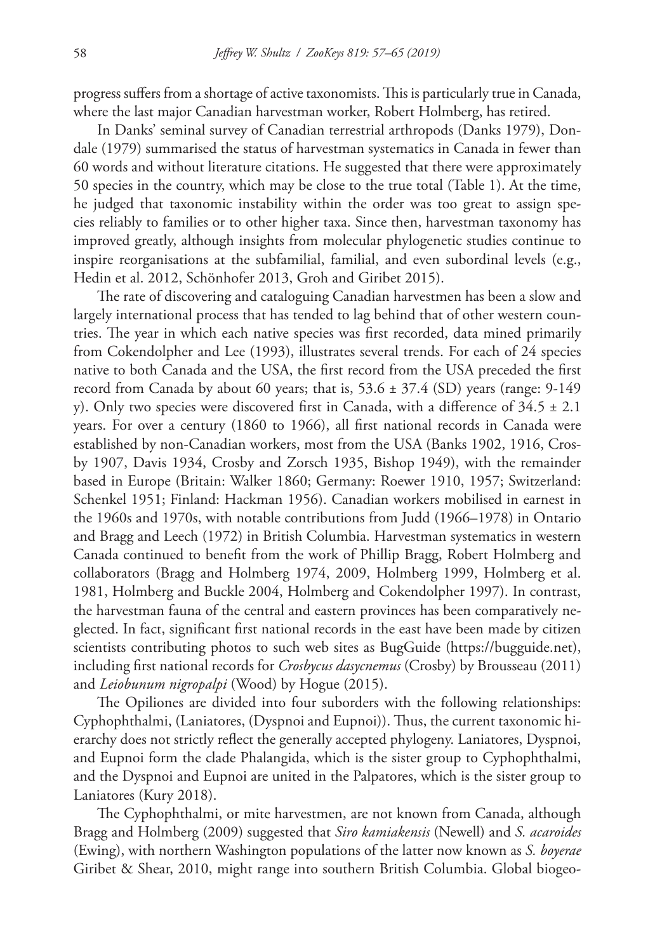progress suffers from a shortage of active taxonomists. This is particularly true in Canada, where the last major Canadian harvestman worker, Robert Holmberg, has retired.

In Danks' seminal survey of Canadian terrestrial arthropods (Danks 1979), Dondale (1979) summarised the status of harvestman systematics in Canada in fewer than 60 words and without literature citations. He suggested that there were approximately 50 species in the country, which may be close to the true total (Table 1). At the time, he judged that taxonomic instability within the order was too great to assign species reliably to families or to other higher taxa. Since then, harvestman taxonomy has improved greatly, although insights from molecular phylogenetic studies continue to inspire reorganisations at the subfamilial, familial, and even subordinal levels (e.g., Hedin et al. 2012, Schönhofer 2013, Groh and Giribet 2015).

The rate of discovering and cataloguing Canadian harvestmen has been a slow and largely international process that has tended to lag behind that of other western countries. The year in which each native species was first recorded, data mined primarily from Cokendolpher and Lee (1993), illustrates several trends. For each of 24 species native to both Canada and the USA, the first record from the USA preceded the first record from Canada by about 60 years; that is,  $53.6 \pm 37.4$  (SD) years (range: 9-149) y). Only two species were discovered first in Canada, with a difference of  $34.5 \pm 2.1$ years. For over a century (1860 to 1966), all first national records in Canada were established by non-Canadian workers, most from the USA (Banks 1902, 1916, Crosby 1907, Davis 1934, Crosby and Zorsch 1935, Bishop 1949), with the remainder based in Europe (Britain: Walker 1860; Germany: Roewer 1910, 1957; Switzerland: Schenkel 1951; Finland: Hackman 1956). Canadian workers mobilised in earnest in the 1960s and 1970s, with notable contributions from Judd (1966–1978) in Ontario and Bragg and Leech (1972) in British Columbia. Harvestman systematics in western Canada continued to benefit from the work of Phillip Bragg, Robert Holmberg and collaborators (Bragg and Holmberg 1974, 2009, Holmberg 1999, Holmberg et al. 1981, Holmberg and Buckle 2004, Holmberg and Cokendolpher 1997). In contrast, the harvestman fauna of the central and eastern provinces has been comparatively neglected. In fact, significant first national records in the east have been made by citizen scientists contributing photos to such web sites as BugGuide (<https://bugguide.net>), including first national records for *Crosbycus dasycnemus* (Crosby) by Brousseau (2011) and *Leiobunum nigropalpi* (Wood) by Hogue (2015).

The Opiliones are divided into four suborders with the following relationships: Cyphophthalmi, (Laniatores, (Dyspnoi and Eupnoi)). Thus, the current taxonomic hierarchy does not strictly reflect the generally accepted phylogeny. Laniatores, Dyspnoi, and Eupnoi form the clade Phalangida, which is the sister group to Cyphophthalmi, and the Dyspnoi and Eupnoi are united in the Palpatores, which is the sister group to Laniatores (Kury 2018).

The Cyphophthalmi, or mite harvestmen, are not known from Canada, although Bragg and Holmberg (2009) suggested that *Siro kamiakensis* (Newell) and *S. acaroides*  (Ewing), with northern Washington populations of the latter now known as *S. boyerae*  Giribet & Shear, 2010, might range into southern British Columbia. Global biogeo-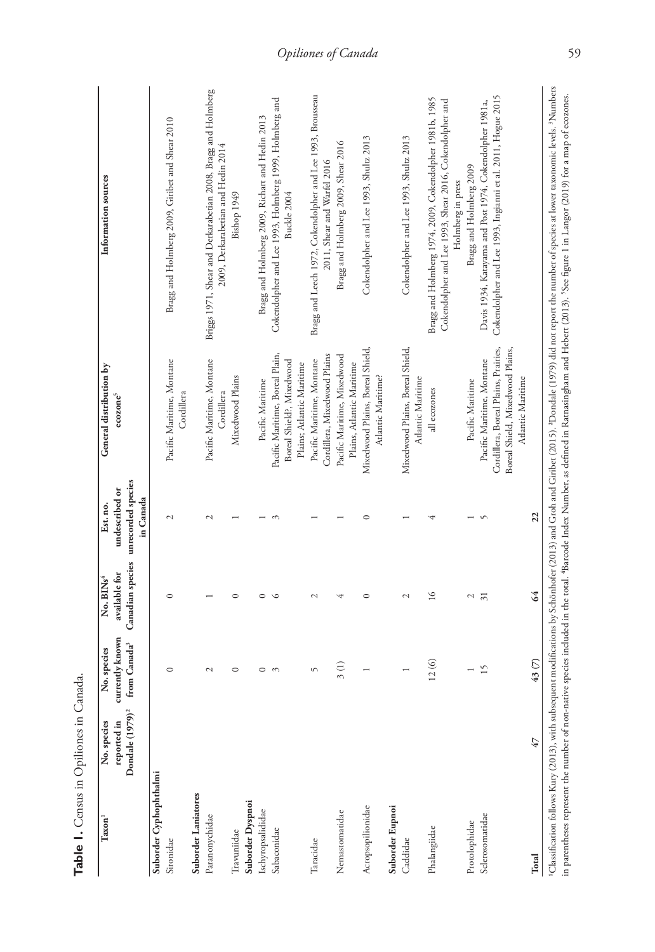| $\mbox{Taxon}^1$                    | Dondale (1979) <sup>2</sup><br>reported in<br>No. species | currently known<br>from Canada <sup>3</sup><br>No. species | Canadian species<br>available for<br>No. BINs <sup>4</sup> | unrecorded species<br>undescribed or<br>in Canada<br>Est. no. | General distribution by<br>$\mathbf{e}\mathbf{co}\mathbf{z}\mathbf{one}^5$ | Information sources                                                                                                                     |
|-------------------------------------|-----------------------------------------------------------|------------------------------------------------------------|------------------------------------------------------------|---------------------------------------------------------------|----------------------------------------------------------------------------|-----------------------------------------------------------------------------------------------------------------------------------------|
| Suborder Cyphophthalmi<br>Sironidae |                                                           | $\circ$                                                    | $\circ$                                                    | $\mathcal{L}$                                                 | Pacific Maritime, Montane                                                  | Bragg and Holmberg 2009, Giribet and Shear 2010                                                                                         |
|                                     |                                                           |                                                            |                                                            |                                                               | Cordillera                                                                 |                                                                                                                                         |
| Suborder Laniatores                 |                                                           |                                                            |                                                            |                                                               |                                                                            |                                                                                                                                         |
| Paranonychidae                      |                                                           | 2                                                          |                                                            | $\mathbf{\sim}$                                               | Pacific Maritime, Montane<br>Cordillera                                    | Briggs 1971, Shear and Derkarabetian 2008, Bragg and Holmberg<br>2009, Derkarabetian and Hedin 2014                                     |
| Travuniidae                         |                                                           | $\circ$                                                    | $\circ$                                                    |                                                               | Mixedwood Plains                                                           | Bishop 1949                                                                                                                             |
| Suborder Dyspnoi                    |                                                           |                                                            |                                                            |                                                               |                                                                            |                                                                                                                                         |
| Ischyropsalididae                   |                                                           | $\circ$                                                    | $\circ$                                                    |                                                               | Pacific Maritime                                                           | Bragg and Holmberg 2009, Richart and Hedin 2013                                                                                         |
| Sabaconidae                         |                                                           | $\sim$                                                     | Ć                                                          |                                                               | Pacific Maritime, Boreal Plain,<br>Boreal Shield?, Mixedwood               | Cokendolpher and Lee 1993, Holmberg 1999, Holmberg and<br>Buckle 2004                                                                   |
|                                     |                                                           |                                                            |                                                            |                                                               | Plains; Atlantic Maritime                                                  |                                                                                                                                         |
| Taracidae                           |                                                           | S                                                          | $\mathcal{L}$                                              |                                                               | Pacific Maritime, Montane                                                  | Bragg and Leech 1972, Cokendolpher and Lee 1993, Brousseau                                                                              |
|                                     |                                                           |                                                            |                                                            |                                                               | Cordillera, Mixedwood Plains                                               | 2011, Shear and Warfel 2016                                                                                                             |
| Nemastomatidae                      |                                                           | 3(1)                                                       |                                                            |                                                               | Pacific Maritime, Mixedwood                                                | Bragg and Holmberg 2009, Shear 2016                                                                                                     |
|                                     |                                                           |                                                            |                                                            |                                                               | Plains, Atlantic Maritime                                                  |                                                                                                                                         |
| Acropsopilionidae                   |                                                           |                                                            | $\circ$                                                    |                                                               | Mixedwood Plains, Boreal Shield,<br>Atlantic Maritime?                     | Cokendolpher and Lee 1993, Shultz 2013                                                                                                  |
| Suborder Eupnoi                     |                                                           |                                                            |                                                            |                                                               |                                                                            |                                                                                                                                         |
| Caddidae                            |                                                           |                                                            | 2                                                          |                                                               | Mixedwood Plains, Boreal Shield,<br>Atlantic Maritime                      | Cokendolpher and Lee 1993, Shultz 2013                                                                                                  |
| Phalangiidae                        |                                                           | 12(6)                                                      | $\frac{6}{2}$                                              |                                                               | all ecozones                                                               | Bragg and Holmberg 1974, 2009, Cokendolpher 1981b, 1985<br>Cokendolpher and Lee 1993, Shear 2016, Cokendolpher and<br>Holmberg in press |
| Protolophidae                       |                                                           |                                                            | 2                                                          |                                                               | Pacific Maritime                                                           | Bragg and Holmberg 2009                                                                                                                 |
| Sclerosomatidae                     |                                                           | $\overline{15}$                                            | $\overline{31}$                                            |                                                               | Pacific Maritime, Montane                                                  | Davis 1934, Katayama and Post 1974, Cokendolpher 1981a,                                                                                 |
|                                     |                                                           |                                                            |                                                            |                                                               | Cordillera, Boreal Plains, Prairies,<br>Boreal Shield, Mixedwood Plains,   | Cokendolpher and Lee 1993, Ingianni et al. 2011, Hogue 2015                                                                             |
|                                     |                                                           |                                                            |                                                            |                                                               | Atlantic Maritime                                                          |                                                                                                                                         |
| Total                               | 47                                                        | 43(7)                                                      | 64                                                         | $\overline{2}$                                                |                                                                            |                                                                                                                                         |

Table 1. Census in Opiliones in Canada. **Table 1.** Census in Opiliones in Canada.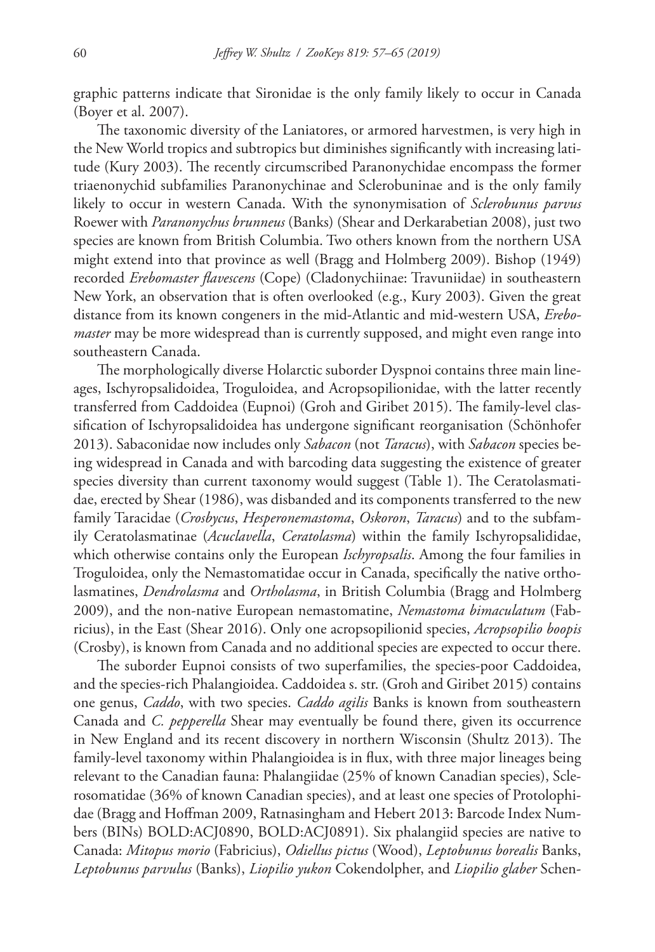graphic patterns indicate that Sironidae is the only family likely to occur in Canada (Boyer et al. 2007).

The taxonomic diversity of the Laniatores, or armored harvestmen, is very high in the New World tropics and subtropics but diminishes significantly with increasing latitude (Kury 2003). The recently circumscribed Paranonychidae encompass the former triaenonychid subfamilies Paranonychinae and Sclerobuninae and is the only family likely to occur in western Canada. With the synonymisation of *Sclerobunus parvus* Roewer with *Paranonychus brunneus* (Banks) (Shear and Derkarabetian 2008), just two species are known from British Columbia. Two others known from the northern USA might extend into that province as well (Bragg and Holmberg 2009). Bishop (1949) recorded *Erebomaster flavescens* (Cope) (Cladonychiinae: Travuniidae) in southeastern New York, an observation that is often overlooked (e.g., Kury 2003). Given the great distance from its known congeners in the mid-Atlantic and mid-western USA, *Erebomaster* may be more widespread than is currently supposed, and might even range into southeastern Canada.

The morphologically diverse Holarctic suborder Dyspnoi contains three main lineages, Ischyropsalidoidea, Troguloidea, and Acropsopilionidae, with the latter recently transferred from Caddoidea (Eupnoi) (Groh and Giribet 2015). The family-level classification of Ischyropsalidoidea has undergone significant reorganisation (Schönhofer 2013). Sabaconidae now includes only *Sabacon* (not *Taracus*), with *Sabacon* species being widespread in Canada and with barcoding data suggesting the existence of greater species diversity than current taxonomy would suggest (Table 1). The Ceratolasmatidae, erected by Shear (1986), was disbanded and its components transferred to the new family Taracidae (*Crosbycus*, *Hesperonemastoma*, *Oskoron*, *Taracus*) and to the subfamily Ceratolasmatinae (*Acuclavella*, *Ceratolasma*) within the family Ischyropsalididae, which otherwise contains only the European *Ischyropsalis*. Among the four families in Troguloidea, only the Nemastomatidae occur in Canada, specifically the native ortholasmatines, *Dendrolasma* and *Ortholasma*, in British Columbia (Bragg and Holmberg 2009), and the non-native European nemastomatine, *Nemastoma bimaculatum* (Fabricius), in the East (Shear 2016). Only one acropsopilionid species, *Acropsopilio boopis*  (Crosby), is known from Canada and no additional species are expected to occur there.

The suborder Eupnoi consists of two superfamilies, the species-poor Caddoidea, and the species-rich Phalangioidea. Caddoidea s. str. (Groh and Giribet 2015) contains one genus, *Caddo*, with two species. *Caddo agilis* Banks is known from southeastern Canada and *C. pepperella* Shear may eventually be found there, given its occurrence in New England and its recent discovery in northern Wisconsin (Shultz 2013). The family-level taxonomy within Phalangioidea is in flux, with three major lineages being relevant to the Canadian fauna: Phalangiidae (25% of known Canadian species), Sclerosomatidae (36% of known Canadian species), and at least one species of Protolophidae (Bragg and Hoffman 2009, Ratnasingham and Hebert 2013: Barcode Index Numbers (BINs) [BOLD:ACJ0890](http://boldsystems.org/index.php/Public_BarcodeCluster?clusteruri=BOLD:ACJ0890), [BOLD:ACJ0891](http://boldsystems.org/index.php/Public_BarcodeCluster?clusteruri=BOLD:ACJ0891)). Six phalangiid species are native to Canada: *Mitopus morio* (Fabricius), *Odiellus pictus* (Wood), *Leptobunus borealis* Banks, *Leptobunus parvulus* (Banks), *Liopilio yukon* Cokendolpher, and *Liopilio glaber* Schen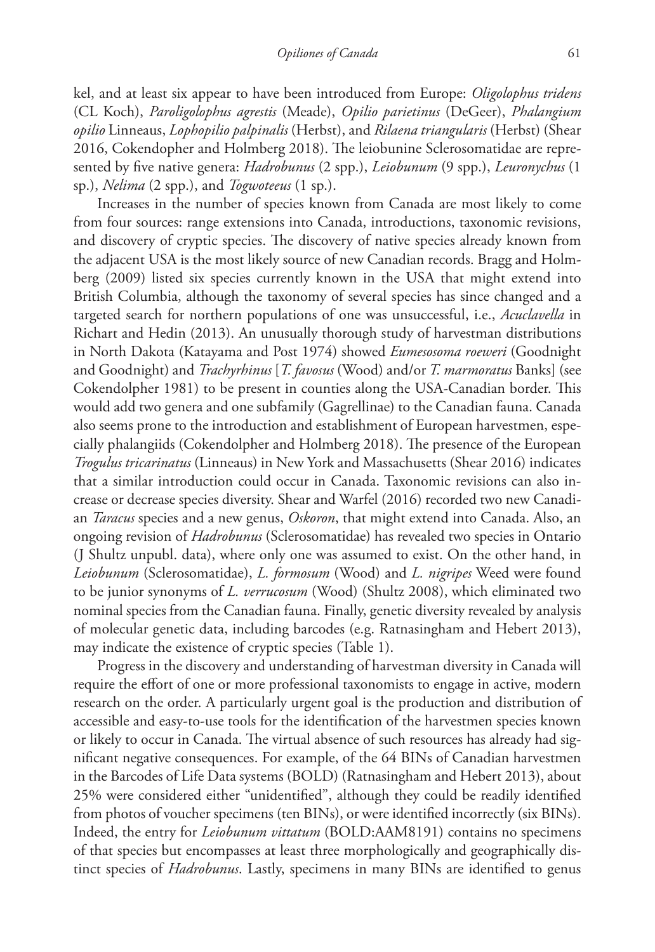kel, and at least six appear to have been introduced from Europe: *Oligolophus tridens* (CL Koch), *Paroligolophus agrestis* (Meade), *Opilio parietinus* (DeGeer), *Phalangium opilio* Linneaus, *Lophopilio palpinalis* (Herbst), and *Rilaena triangularis* (Herbst) (Shear 2016, Cokendopher and Holmberg 2018). The leiobunine Sclerosomatidae are represented by five native genera: *Hadrobunus* (2 spp.), *Leiobunum* (9 spp.), *Leuronychus* (1 sp.), *Nelima* (2 spp.), and *Togwoteeus* (1 sp.).

Increases in the number of species known from Canada are most likely to come from four sources: range extensions into Canada, introductions, taxonomic revisions, and discovery of cryptic species. The discovery of native species already known from the adjacent USA is the most likely source of new Canadian records. Bragg and Holmberg (2009) listed six species currently known in the USA that might extend into British Columbia, although the taxonomy of several species has since changed and a targeted search for northern populations of one was unsuccessful, i.e., *Acuclavella* in Richart and Hedin (2013). An unusually thorough study of harvestman distributions in North Dakota (Katayama and Post 1974) showed *Eumesosoma roeweri* (Goodnight and Goodnight) and *Trachyrhinus* [*T. favosus* (Wood) and/or *T. marmoratus* Banks] (see Cokendolpher 1981) to be present in counties along the USA-Canadian border. This would add two genera and one subfamily (Gagrellinae) to the Canadian fauna. Canada also seems prone to the introduction and establishment of European harvestmen, especially phalangiids (Cokendolpher and Holmberg 2018). The presence of the European *Trogulus tricarinatus* (Linneaus) in New York and Massachusetts (Shear 2016) indicates that a similar introduction could occur in Canada. Taxonomic revisions can also increase or decrease species diversity. Shear and Warfel (2016) recorded two new Canadian *Taracus* species and a new genus, *Oskoron*, that might extend into Canada. Also, an ongoing revision of *Hadrobunus* (Sclerosomatidae) has revealed two species in Ontario (J Shultz unpubl. data), where only one was assumed to exist. On the other hand, in *Leiobunum* (Sclerosomatidae), *L. formosum* (Wood) and *L. nigripes* Weed were found to be junior synonyms of *L. verrucosum* (Wood) (Shultz 2008), which eliminated two nominal species from the Canadian fauna. Finally, genetic diversity revealed by analysis of molecular genetic data, including barcodes (e.g. Ratnasingham and Hebert 2013), may indicate the existence of cryptic species (Table 1).

Progress in the discovery and understanding of harvestman diversity in Canada will require the effort of one or more professional taxonomists to engage in active, modern research on the order. A particularly urgent goal is the production and distribution of accessible and easy-to-use tools for the identification of the harvestmen species known or likely to occur in Canada. The virtual absence of such resources has already had significant negative consequences. For example, of the 64 BINs of Canadian harvestmen in the Barcodes of Life Data systems (BOLD) (Ratnasingham and Hebert 2013), about 25% were considered either "unidentified", although they could be readily identified from photos of voucher specimens (ten BINs), or were identified incorrectly (six BINs). Indeed, the entry for *Leiobunum vittatum* [\(BOLD:AAM8191\)](http://boldsystems.org/index.php/Public_BarcodeCluster?clusteruri=BOLD:AAM8191) contains no specimens of that species but encompasses at least three morphologically and geographically distinct species of *Hadrobunus*. Lastly, specimens in many BINs are identified to genus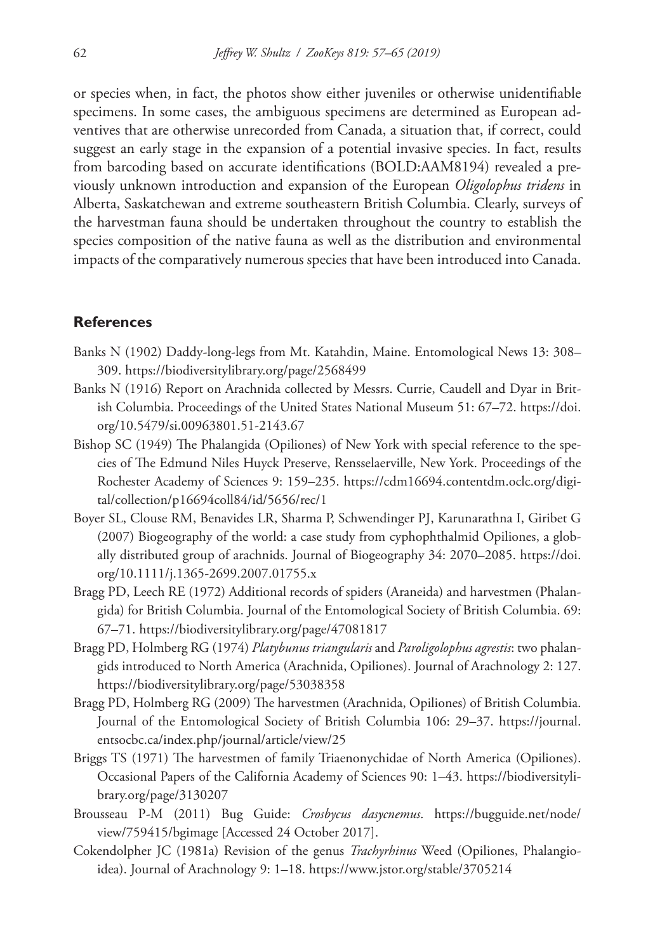or species when, in fact, the photos show either juveniles or otherwise unidentifiable specimens. In some cases, the ambiguous specimens are determined as European adventives that are otherwise unrecorded from Canada, a situation that, if correct, could suggest an early stage in the expansion of a potential invasive species. In fact, results from barcoding based on accurate identifications [\(BOLD:AAM8194](http://boldsystems.org/index.php/Public_BarcodeCluster?clusteruri=BOLD:AAM8194)) revealed a previously unknown introduction and expansion of the European *Oligolophus tridens* in Alberta, Saskatchewan and extreme southeastern British Columbia. Clearly, surveys of the harvestman fauna should be undertaken throughout the country to establish the species composition of the native fauna as well as the distribution and environmental impacts of the comparatively numerous species that have been introduced into Canada.

## **References**

- Banks N (1902) Daddy-long-legs from Mt. Katahdin, Maine. Entomological News 13: 308– 309.<https://biodiversitylibrary.org/page/2568499>
- Banks N (1916) Report on Arachnida collected by Messrs. Currie, Caudell and Dyar in British Columbia. Proceedings of the United States National Museum 51: 67–72. [https://doi.](https://doi.org/10.5479/si.00963801.51-2143.67) [org/10.5479/si.00963801.51-2143.67](https://doi.org/10.5479/si.00963801.51-2143.67)
- Bishop SC (1949) The Phalangida (Opiliones) of New York with special reference to the species of The Edmund Niles Huyck Preserve, Rensselaerville, New York. Proceedings of the Rochester Academy of Sciences 9: 159–235. [https://cdm16694.contentdm.oclc.org/digi](https://cdm16694.contentdm.oclc.org/digital/collection/p16694coll84/id/5656/rec/1)[tal/collection/p16694coll84/id/5656/rec/1](https://cdm16694.contentdm.oclc.org/digital/collection/p16694coll84/id/5656/rec/1)
- Boyer SL, Clouse RM, Benavides LR, Sharma P, Schwendinger PJ, Karunarathna I, Giribet G (2007) Biogeography of the world: a case study from cyphophthalmid Opiliones, a globally distributed group of arachnids. Journal of Biogeography 34: 2070–2085. [https://doi.](https://doi.org/10.1111/j.1365-2699.2007.01755.x) [org/10.1111/j.1365-2699.2007.01755.x](https://doi.org/10.1111/j.1365-2699.2007.01755.x)
- Bragg PD, Leech RE (1972) Additional records of spiders (Araneida) and harvestmen (Phalangida) for British Columbia. Journal of the Entomological Society of British Columbia. 69: 67–71.<https://biodiversitylibrary.org/page/47081817>
- Bragg PD, Holmberg RG (1974) *Platybunus triangularis* and *Paroligolophus agrestis*: two phalangids introduced to North America (Arachnida, Opiliones). Journal of Arachnology 2: 127. <https://biodiversitylibrary.org/page/53038358>
- Bragg PD, Holmberg RG (2009) The harvestmen (Arachnida, Opiliones) of British Columbia. Journal of the Entomological Society of British Columbia 106: 29–37. [https://journal.](https://journal.entsocbc.ca/index.php/journal/article/view/25) [entsocbc.ca/index.php/journal/article/view/25](https://journal.entsocbc.ca/index.php/journal/article/view/25)
- Briggs TS (1971) The harvestmen of family Triaenonychidae of North America (Opiliones). Occasional Papers of the California Academy of Sciences 90: 1–43. [https://biodiversityli](https://biodiversitylibrary.org/page/3130207)[brary.org/page/3130207](https://biodiversitylibrary.org/page/3130207)
- Brousseau P-M (2011) Bug Guide: *Crosbycus dasycnemus*. [https://bugguide.net/node/](https://bugguide.net/node/view/759415/bgimage) [view/759415/bgimage](https://bugguide.net/node/view/759415/bgimage) [Accessed 24 October 2017].
- Cokendolpher JC (1981a) Revision of the genus *Trachyrhinus* Weed (Opiliones, Phalangioidea). Journal of Arachnology 9: 1–18. <https://www.jstor.org/stable/3705214>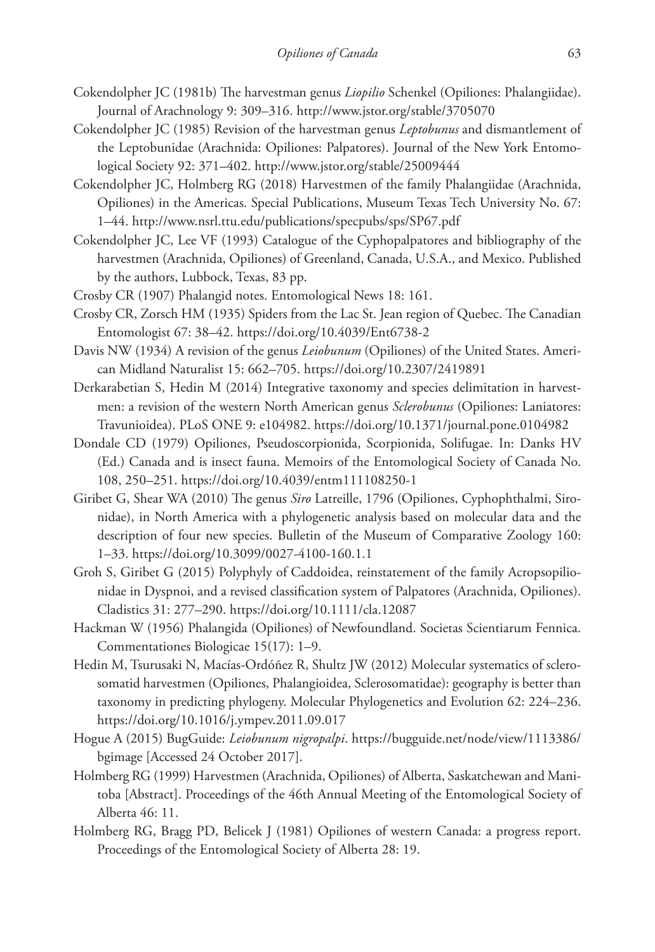- Cokendolpher JC (1981b) The harvestman genus *Liopilio* Schenkel (Opiliones: Phalangiidae). Journal of Arachnology 9: 309–316. <http://www.jstor.org/stable/3705070>
- Cokendolpher JC (1985) Revision of the harvestman genus *Leptobunus* and dismantlement of the Leptobunidae (Arachnida: Opiliones: Palpatores). Journal of the New York Entomological Society 92: 371–402. <http://www.jstor.org/stable/25009444>
- Cokendolpher JC, Holmberg RG (2018) Harvestmen of the family Phalangiidae (Arachnida, Opiliones) in the Americas. Special Publications, Museum Texas Tech University No. 67: 1–44.<http://www.nsrl.ttu.edu/publications/specpubs/sps/SP67.pdf>
- Cokendolpher JC, Lee VF (1993) Catalogue of the Cyphopalpatores and bibliography of the harvestmen (Arachnida, Opiliones) of Greenland, Canada, U.S.A., and Mexico. Published by the authors, Lubbock, Texas, 83 pp.
- Crosby CR (1907) Phalangid notes. Entomological News 18: 161.
- Crosby CR, Zorsch HM (1935) Spiders from the Lac St. Jean region of Quebec. The Canadian Entomologist 67: 38–42.<https://doi.org/10.4039/Ent6738-2>
- Davis NW (1934) A revision of the genus *Leiobunum* (Opiliones) of the United States. American Midland Naturalist 15: 662–705.<https://doi.org/10.2307/2419891>
- Derkarabetian S, Hedin M (2014) Integrative taxonomy and species delimitation in harvestmen: a revision of the western North American genus *Sclerobunus* (Opiliones: Laniatores: Travunioidea). PLoS ONE 9: e104982.<https://doi.org/10.1371/journal.pone.0104982>
- Dondale CD (1979) Opiliones, Pseudoscorpionida, Scorpionida, Solifugae. In: Danks HV (Ed.) Canada and is insect fauna. Memoirs of the Entomological Society of Canada No. 108, 250–251.<https://doi.org/10.4039/entm111108250-1>
- Giribet G, Shear WA (2010) The genus *Siro* Latreille, 1796 (Opiliones, Cyphophthalmi, Sironidae), in North America with a phylogenetic analysis based on molecular data and the description of four new species. Bulletin of the Museum of Comparative Zoology 160: 1–33.<https://doi.org/10.3099/0027-4100-160.1.1>
- Groh S, Giribet G (2015) Polyphyly of Caddoidea, reinstatement of the family Acropsopilionidae in Dyspnoi, and a revised classification system of Palpatores (Arachnida, Opiliones). Cladistics 31: 277–290.<https://doi.org/10.1111/cla.12087>
- Hackman W (1956) Phalangida (Opiliones) of Newfoundland. Societas Scientiarum Fennica. Commentationes Biologicae 15(17): 1–9.
- Hedin M, Tsurusaki N, Macías-Ordóñez R, Shultz JW (2012) Molecular systematics of sclerosomatid harvestmen (Opiliones, Phalangioidea, Sclerosomatidae): geography is better than taxonomy in predicting phylogeny. Molecular Phylogenetics and Evolution 62: 224–236. <https://doi.org/10.1016/j.ympev.2011.09.017>
- Hogue A (2015) BugGuide: *Leiobunum nigropalpi*. [https://bugguide.net/node/view/1113386/](https://bugguide.net/node/view/1113386/bgimage) [bgimage](https://bugguide.net/node/view/1113386/bgimage) [Accessed 24 October 2017].
- Holmberg RG (1999) Harvestmen (Arachnida, Opiliones) of Alberta, Saskatchewan and Manitoba [Abstract]. Proceedings of the 46th Annual Meeting of the Entomological Society of Alberta 46: 11.
- Holmberg RG, Bragg PD, Belicek J (1981) Opiliones of western Canada: a progress report. Proceedings of the Entomological Society of Alberta 28: 19.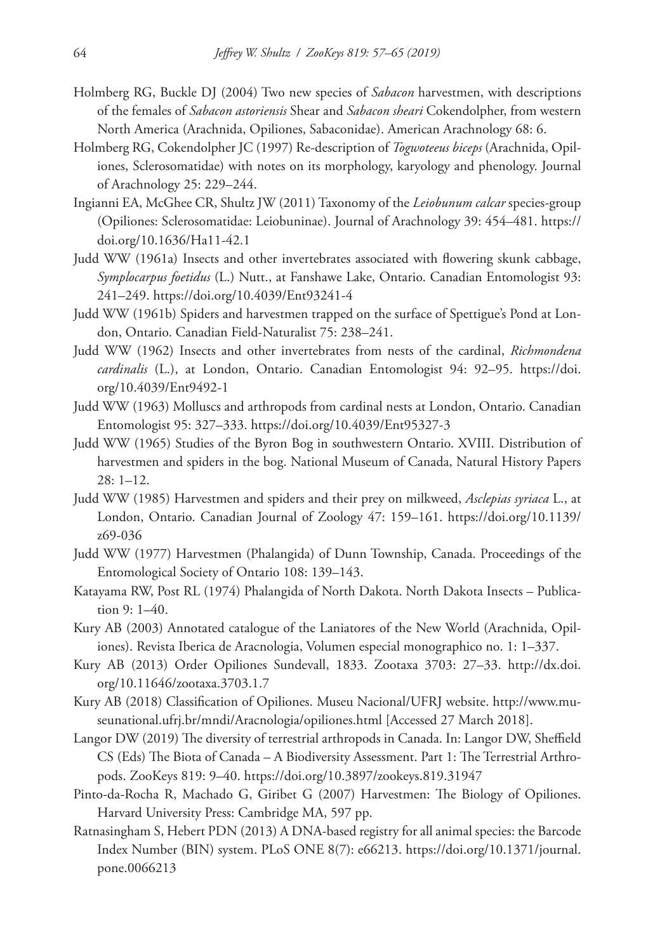- Holmberg RG, Buckle DJ (2004) Two new species of *Sabacon* harvestmen, with descriptions of the females of *Sabacon astoriensis* Shear and *Sabacon sheari* Cokendolpher, from western North America (Arachnida, Opiliones, Sabaconidae). American Arachnology 68: 6.
- Holmberg RG, Cokendolpher JC (1997) Re-description of *Togwoteeus biceps* (Arachnida, Opiliones, Sclerosomatidae) with notes on its morphology, karyology and phenology. Journal of Arachnology 25: 229–244.
- Ingianni EA, McGhee CR, Shultz JW (2011) Taxonomy of the *Leiobunum calcar* species-group (Opiliones: Sclerosomatidae: Leiobuninae). Journal of Arachnology 39: 454–481. [https://](https://doi.org/10.1636/Ha11-42.1) [doi.org/10.1636/Ha11-42.1](https://doi.org/10.1636/Ha11-42.1)
- Judd WW (1961a) Insects and other invertebrates associated with flowering skunk cabbage, *Symplocarpus foetidus* (L.) Nutt., at Fanshawe Lake, Ontario. Canadian Entomologist 93: 241–249.<https://doi.org/10.4039/Ent93241-4>
- Judd WW (1961b) Spiders and harvestmen trapped on the surface of Spettigue's Pond at London, Ontario. Canadian Field-Naturalist 75: 238–241.
- Judd WW (1962) Insects and other invertebrates from nests of the cardinal, *Richmondena cardinalis* (L.), at London, Ontario. Canadian Entomologist 94: 92–95. [https://doi.](https://doi.org/10.4039/Ent9492-1) [org/10.4039/Ent9492-1](https://doi.org/10.4039/Ent9492-1)
- Judd WW (1963) Molluscs and arthropods from cardinal nests at London, Ontario. Canadian Entomologist 95: 327–333.<https://doi.org/10.4039/Ent95327-3>
- Judd WW (1965) Studies of the Byron Bog in southwestern Ontario. XVIII. Distribution of harvestmen and spiders in the bog. National Museum of Canada, Natural History Papers 28: 1–12.
- Judd WW (1985) Harvestmen and spiders and their prey on milkweed, *Asclepias syriaca* L., at London, Ontario. Canadian Journal of Zoology 47: 159–161. [https://doi.org/10.1139/](https://doi.org/10.1139/z69-036) [z69-036](https://doi.org/10.1139/z69-036)
- Judd WW (1977) Harvestmen (Phalangida) of Dunn Township, Canada. Proceedings of the Entomological Society of Ontario 108: 139–143.
- Katayama RW, Post RL (1974) Phalangida of North Dakota. North Dakota Insects Publication 9: 1–40.
- Kury AB (2003) Annotated catalogue of the Laniatores of the New World (Arachnida, Opiliones). Revista Iberica de Aracnologia, Volumen especial monographico no. 1: 1–337.
- Kury AB (2013) Order Opiliones Sundevall, 1833. Zootaxa 3703: 27–33. [http://dx.doi.](http://dx.doi.org/10.11646/zootaxa.3703.1.7) [org/10.11646/zootaxa.3703.1.7](http://dx.doi.org/10.11646/zootaxa.3703.1.7)
- Kury AB (2018) Classification of Opiliones. Museu Nacional/UFRJ website. [http://www.mu](http://www.museunational.ufrj.br/mndi/Aracnologia/opiliones.html)[seunational.ufrj.br/mndi/Aracnologia/opiliones.html](http://www.museunational.ufrj.br/mndi/Aracnologia/opiliones.html) [Accessed 27 March 2018].
- Langor DW (2019) The diversity of terrestrial arthropods in Canada. In: Langor DW, Sheffield CS (Eds) The Biota of Canada – A Biodiversity Assessment. Part 1: The Terrestrial Arthropods. ZooKeys 819: 9–40.<https://doi.org/10.3897/zookeys.819.31947>
- Pinto-da-Rocha R, Machado G, Giribet G (2007) Harvestmen: The Biology of Opiliones. Harvard University Press: Cambridge MA, 597 pp.
- Ratnasingham S, Hebert PDN (2013) A DNA-based registry for all animal species: the Barcode Index Number (BIN) system. PLoS ONE 8(7): e66213. [https://doi.org/10.1371/journal.](https://doi.org/10.1371/journal.pone.0066213) [pone.0066213](https://doi.org/10.1371/journal.pone.0066213)